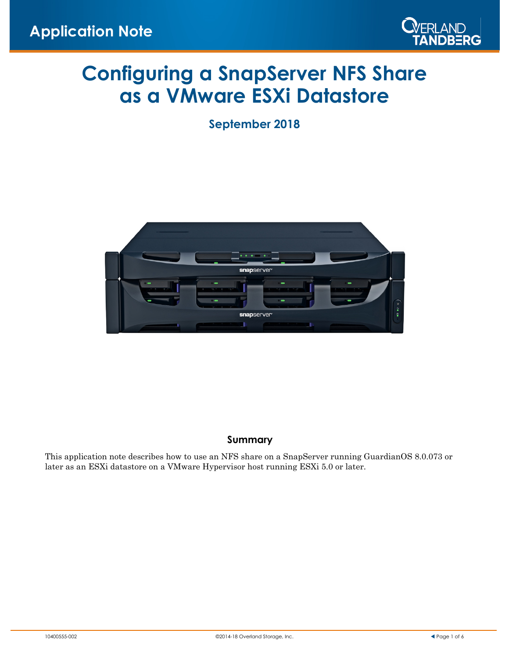

# **Configuring a SnapServer NFS Share as a VMware ESXi Datastore**

**September 2018**



#### **Summary**

This application note describes how to use an NFS share on a SnapServer running GuardianOS 8.0.073 or later as an ESXi datastore on a VMware Hypervisor host running ESXi 5.0 or later.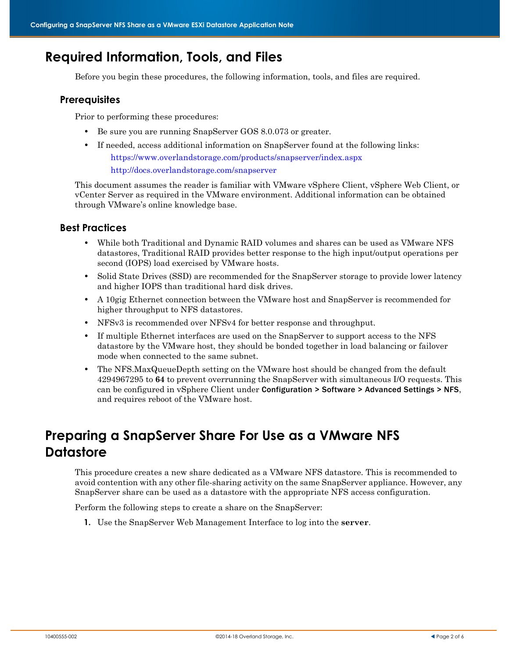### **Required Information, Tools, and Files**

Before you begin these procedures, the following information, tools, and files are required.

#### **Prerequisites**

Prior to performing these procedures:

- **•** Be sure you are running SnapServer GOS 8.0.073 or greater.
- If needed, access additional information on SnapServer found at the following links: https://www.overlandstorage.com/products/snapserver/index.aspx <http://docs.overlandstorage.com/snapserver>

This document assumes the reader is familiar with VMware vSphere Client, vSphere Web Client, or vCenter Server as required in the VMware environment. Additional information can be obtained through VMware's online knowledge base.

#### **Best Practices**

- **•** While both Traditional and Dynamic RAID volumes and shares can be used as VMware NFS datastores, Traditional RAID provides better response to the high input/output operations per second (IOPS) load exercised by VMware hosts.
- Solid State Drives *(SSD)* are recommended for the SnapServer storage to provide lower latency and higher IOPS than traditional hard disk drives.
- **•** A 10gig Ethernet connection between the VMware host and SnapServer is recommended for higher throughput to NFS datastores.
- **•** NFSv3 is recommended over NFSv4 for better response and throughput.
- **•** If multiple Ethernet interfaces are used on the SnapServer to support access to the NFS datastore by the VMware host, they should be bonded together in load balancing or failover mode when connected to the same subnet.
- **•** The NFS.MaxQueueDepth setting on the VMware host should be changed from the default 4294967295 to **64** to prevent overrunning the SnapServer with simultaneous I/O requests. This can be configured in vSphere Client under Configuration > Software > Advanced Settings > NFS, and requires reboot of the VMware host.

## **Preparing a SnapServer Share For Use as a VMware NFS Datastore**

This procedure creates a new share dedicated as a VMware NFS datastore. This is recommended to avoid contention with any other file-sharing activity on the same SnapServer appliance. However, any SnapServer share can be used as a datastore with the appropriate NFS access configuration.

Perform the following steps to create a share on the SnapServer:

**1.** Use the SnapServer Web Management Interface to log into the **server**.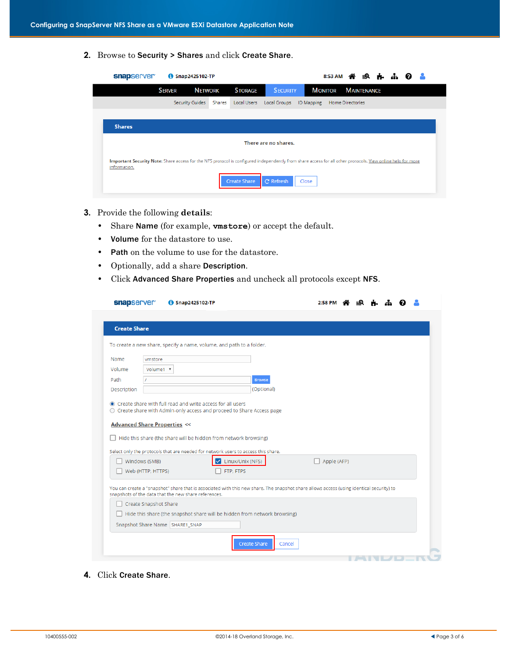**2.** Browse to Security > Shares and click Create Share.

| snapserver                                                                                                                                                                  | 6 Snap2425102-TP |                |                     |                      |                   | 8:53 AM 谷 19 点 击        |                    |  |  |  |
|-----------------------------------------------------------------------------------------------------------------------------------------------------------------------------|------------------|----------------|---------------------|----------------------|-------------------|-------------------------|--------------------|--|--|--|
|                                                                                                                                                                             | <b>SERVER</b>    | <b>NETWORK</b> | <b>STORAGE</b>      | <b>SECURITY</b>      | <b>MONITOR</b>    |                         | <b>MAINTENANCE</b> |  |  |  |
|                                                                                                                                                                             | Security Guides  | Shares         | Local Users         | Local Groups         | <b>ID Mapping</b> | <b>Home Directories</b> |                    |  |  |  |
|                                                                                                                                                                             |                  |                |                     |                      |                   |                         |                    |  |  |  |
| <b>Shares</b>                                                                                                                                                               |                  |                |                     |                      |                   |                         |                    |  |  |  |
|                                                                                                                                                                             |                  |                |                     | There are no shares. |                   |                         |                    |  |  |  |
| Important Security Note: Share access for the NFS protocol is configured independently from share access for all other protocols. View online help for more<br>information. |                  |                |                     |                      |                   |                         |                    |  |  |  |
|                                                                                                                                                                             |                  |                | <b>Create Share</b> | C Refresh            | Close             |                         |                    |  |  |  |

- **3.** Provide the following **details**:
	- **•** Share Name (for example, **vmstore**) or accept the default.
	- **•** Volume for the datastore to use.
	- **•** Path on the volume to use for the datastore.
	- **•** Optionally, add a share Description.
	- **•** Click Advanced Share Properties and uncheck all protocols except NFS.

| snapserver                                                                                                                                                                                       |                                    | Snap2425102-TP |                               |                                                                           |        |  | $2:58$ PM   |  |  |  |
|--------------------------------------------------------------------------------------------------------------------------------------------------------------------------------------------------|------------------------------------|----------------|-------------------------------|---------------------------------------------------------------------------|--------|--|-------------|--|--|--|
| <b>Create Share</b>                                                                                                                                                                              |                                    |                |                               |                                                                           |        |  |             |  |  |  |
| To create a new share, specify a name, volume, and path to a folder.                                                                                                                             |                                    |                |                               |                                                                           |        |  |             |  |  |  |
| Name                                                                                                                                                                                             | vmstore                            |                |                               |                                                                           |        |  |             |  |  |  |
| Volume                                                                                                                                                                                           | Volume1 v                          |                |                               |                                                                           |        |  |             |  |  |  |
| Path                                                                                                                                                                                             |                                    |                |                               | Browse                                                                    |        |  |             |  |  |  |
| Description                                                                                                                                                                                      |                                    |                |                               | (Optional)                                                                |        |  |             |  |  |  |
| Select only the protocols that are needed for network users to access this share.                                                                                                                | Windows (SMB)<br>Web (HTTP, HTTPS) |                | Linux/Unix (NFS)<br>FTP, FTPS | Hide this share (the share will be hidden from network browsing)          |        |  | Apple (AFP) |  |  |  |
| You can create a "snapshot" share that is associated with this new share. The snapshot share allows access (using identical security) to<br>snapshots of the data that the new share references. | Create Snapshot Share              |                |                               |                                                                           |        |  |             |  |  |  |
|                                                                                                                                                                                                  |                                    |                |                               | Hide this share (the snapshot share will be hidden from network browsing) |        |  |             |  |  |  |
| Snapshot Share Name   SHARE1_SNAP                                                                                                                                                                |                                    |                |                               |                                                                           |        |  |             |  |  |  |
|                                                                                                                                                                                                  |                                    |                |                               |                                                                           |        |  |             |  |  |  |
|                                                                                                                                                                                                  |                                    |                |                               | <b>Create Share</b>                                                       | Cancel |  |             |  |  |  |

**4.** Click Create Share.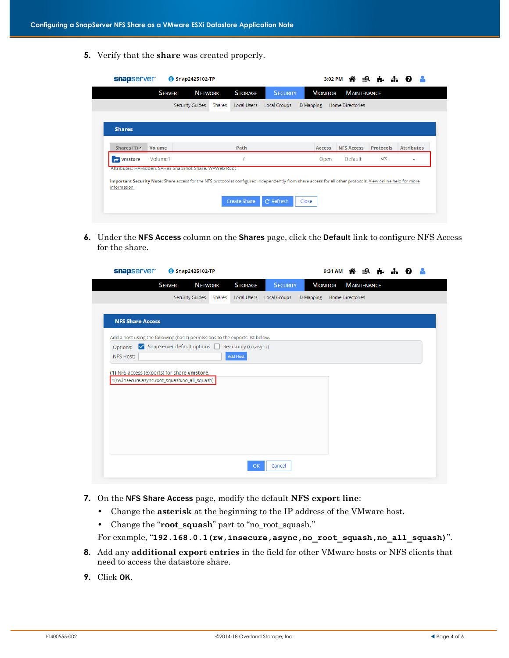**5.** Verify that the **share** was created properly.

|                                                                                                                                                             | <b>SERVER</b> | <b>NETWORK</b>         |        | <b>STORAGE</b> | <b>SECURITY</b> |                   | <b>MONITOR</b> | <b>MAINTENANCE</b>      |                  |                   |
|-------------------------------------------------------------------------------------------------------------------------------------------------------------|---------------|------------------------|--------|----------------|-----------------|-------------------|----------------|-------------------------|------------------|-------------------|
|                                                                                                                                                             |               | <b>Security Guides</b> | Shares | Local Users    | Local Groups    | <b>ID Mapping</b> |                | <b>Home Directories</b> |                  |                   |
|                                                                                                                                                             |               |                        |        |                |                 |                   |                |                         |                  |                   |
| <b>Shares</b>                                                                                                                                               |               |                        |        |                |                 |                   |                |                         |                  |                   |
|                                                                                                                                                             |               |                        |        |                |                 |                   |                |                         |                  |                   |
| Shares $(1)$ A                                                                                                                                              | Volume        |                        |        | Path           |                 |                   | <b>Access</b>  | <b>NFS Access</b>       | <b>Protocols</b> | <b>Attributes</b> |
| $\rightarrow$ vmstore                                                                                                                                       | Volume1       |                        |        |                |                 |                   | Open           | Default                 | <b>NFS</b>       |                   |
| Attributes: H=Hidden, S=Has Snapshot Share, W=Web Root                                                                                                      |               |                        |        |                |                 |                   |                |                         |                  |                   |
| Important Security Note: Share access for the NFS protocol is configured independently from share access for all other protocols. View online help for more |               |                        |        |                |                 |                   |                |                         |                  |                   |
| information.                                                                                                                                                |               |                        |        |                |                 |                   |                |                         |                  |                   |

**6.** Under the NFS Access column on the Shares page, click the Default link to configure NFS Access for the share.

| snapserver                                                                    |               | Snap2425102-TP         |        |                                                                                   |                         | 9:31 AM        |                         | ≡Q                 | 6. dr |  |
|-------------------------------------------------------------------------------|---------------|------------------------|--------|-----------------------------------------------------------------------------------|-------------------------|----------------|-------------------------|--------------------|-------|--|
|                                                                               | <b>SERVER</b> | <b>NETWORK</b>         |        | <b>STORAGE</b>                                                                    | <b>SECURITY</b>         | <b>MONITOR</b> |                         | <b>MAINTENANCE</b> |       |  |
|                                                                               |               | <b>Security Guides</b> | Shares | Local Users                                                                       | Local Groups ID Mapping |                | <b>Home Directories</b> |                    |       |  |
|                                                                               |               |                        |        |                                                                                   |                         |                |                         |                    |       |  |
| <b>NFS Share Access</b>                                                       |               |                        |        |                                                                                   |                         |                |                         |                    |       |  |
| Add a host using the following (basic) permissions to the exports list below. |               |                        |        |                                                                                   |                         |                |                         |                    |       |  |
| Options:                                                                      |               |                        |        | $\triangleright$ SnapServer default options $\triangleright$ Read-only (ro,async) |                         |                |                         |                    |       |  |
| NFS Host:                                                                     |               |                        |        | <b>Add Host</b>                                                                   |                         |                |                         |                    |       |  |
|                                                                               |               |                        |        |                                                                                   |                         |                |                         |                    |       |  |
| (1) NFS access (exports) for share vmstore.                                   |               |                        |        |                                                                                   |                         |                |                         |                    |       |  |
| *(rw,insecure,async,root_squash,no_all_squash)                                |               |                        |        |                                                                                   |                         |                |                         |                    |       |  |
|                                                                               |               |                        |        |                                                                                   |                         |                |                         |                    |       |  |
|                                                                               |               |                        |        |                                                                                   |                         |                |                         |                    |       |  |
|                                                                               |               |                        |        |                                                                                   |                         |                |                         |                    |       |  |
|                                                                               |               |                        |        |                                                                                   |                         |                |                         |                    |       |  |
|                                                                               |               |                        |        |                                                                                   |                         |                |                         |                    |       |  |
|                                                                               |               |                        |        |                                                                                   |                         |                |                         |                    |       |  |
|                                                                               |               |                        |        |                                                                                   |                         |                |                         |                    |       |  |
|                                                                               |               |                        |        |                                                                                   |                         |                |                         |                    |       |  |
|                                                                               |               |                        |        |                                                                                   |                         |                |                         |                    |       |  |

- **7.** On the NFS Share Access page, modify the default **NFS export line**:
	- **•** Change the **asterisk** at the beginning to the IP address of the VMware host.
	- **•** Change the "**root\_squash**" part to "no\_root\_squash."

For example, "**192.168.0.1(rw,insecure,async,no\_root\_squash,no\_all\_squash)**".

- **8.** Add any **additional export entries** in the field for other VMware hosts or NFS clients that need to access the datastore share.
- **9.** Click OK.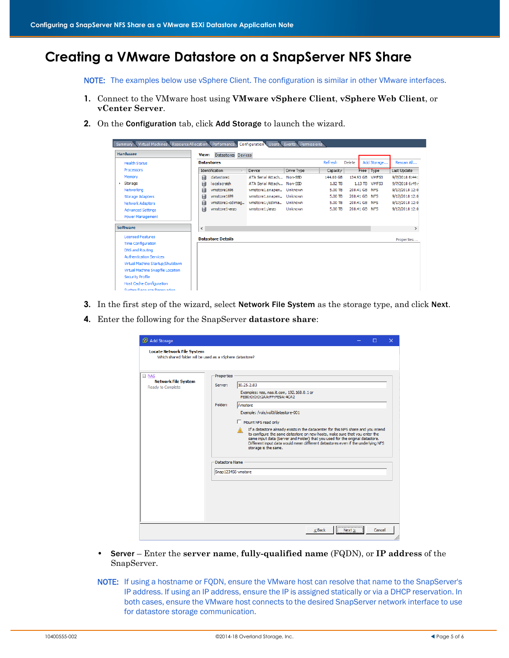# **Creating a VMware Datastore on a SnapServer NFS Share**

NOTE: The examples below use vSphere Client. The configuration is similar in other VMware interfaces.

- **1.** Connect to the VMware host using **VMware vSphere Client**, **vSphere Web Client**, or **vCenter Server**.
- **2.** On the Configuration tab, click Add Storage to launch the wizard.

| Virtual Machines Resource Allocation Performance<br>Summary |                             | Configuration Users Events Permissions |            |           |                 |               |                |
|-------------------------------------------------------------|-----------------------------|----------------------------------------|------------|-----------|-----------------|---------------|----------------|
| <b>Hardware</b>                                             | Datastores Devices<br>View: |                                        |            |           |                 |               |                |
| <b>Health Status</b>                                        | <b>Datastores</b>           |                                        |            | Refresh   | Delete          | Add Storage   | Rescan All     |
| Processors                                                  | Identification<br>$\lambda$ | Device                                 | Drive Type | Capacity  |                 | Free Type     | Last Update    |
| Memory                                                      | 目<br>datastore1             | ATA Serial Attach Non-SSD              |            | 144.00 GB | 134.93 GB VMFS3 |               | 9/7/2018 6:44: |
| $\rightarrow$ Storage                                       | 目<br>localscratch           | ATA Serial Attach Non-SSD              |            | 1.82 TB   |                 | 1.13 TB VMFS3 | 9/7/2018 6:49: |
| Networking                                                  | 目<br>vmstore1696            | vmstore1.snapen Unknown                |            | 5.00 TB   | 208.41 GB NFS   |               | 9/17/2018 12:0 |
| <b>Storage Adapters</b>                                     | 国<br>vmstore1699            | vmstore1.snapen                        | Unknown    | 5.00 TB   | 208.41 GB NFS   |               | 9/17/2018 12:0 |
| <b>Network Adapters</b>                                     | vmstore1-cdimag<br>目        | vmstore1:/cdima                        | Unknown    | 5.00 TB   | 208.41 GB NFS   |               | 9/17/2018 12:0 |
| <b>Advanced Settings</b>                                    | 目<br>vmstore1-enzo          | vmstore1:/enzo                         | Unknown    | 5.00 TB   | 208.41 GB NFS   |               | 9/17/2018 12:0 |
| <b>Power Management</b>                                     |                             |                                        |            |           |                 |               |                |
| <b>Software</b>                                             | $\checkmark$                |                                        |            |           |                 |               | $\rightarrow$  |
| <b>Licensed Features</b>                                    | <b>Datastore Details</b>    |                                        |            |           |                 |               | Properties     |
| <b>Time Configuration</b>                                   |                             |                                        |            |           |                 |               |                |
| <b>DNS and Routing</b>                                      |                             |                                        |            |           |                 |               |                |
| <b>Authentication Services</b>                              |                             |                                        |            |           |                 |               |                |
| Virtual Machine Startup/Shutdown                            |                             |                                        |            |           |                 |               |                |
| Virtual Machine Swapfile Location                           |                             |                                        |            |           |                 |               |                |
| <b>Security Profile</b>                                     |                             |                                        |            |           |                 |               |                |
| <b>Host Cache Configuration</b>                             |                             |                                        |            |           |                 |               |                |
| <b>Contain Department Departmention</b>                     |                             |                                        |            |           |                 |               |                |

- **3.** In the first step of the wizard, select Network File System as the storage type, and click Next.
- **4.** Enter the following for the SnapServer **datastore share**:

| Add Storage                                                                                   |                                                                          |                                                                                                                                                                                                                                                                                                                                                                                                                                                                                                                               |        | □      | $\times$ |
|-----------------------------------------------------------------------------------------------|--------------------------------------------------------------------------|-------------------------------------------------------------------------------------------------------------------------------------------------------------------------------------------------------------------------------------------------------------------------------------------------------------------------------------------------------------------------------------------------------------------------------------------------------------------------------------------------------------------------------|--------|--------|----------|
| <b>Locate Network File System</b><br>Which shared folder will be used as a vSphere datastore? |                                                                          |                                                                                                                                                                                                                                                                                                                                                                                                                                                                                                                               |        |        |          |
| $\Box$ NAS<br><b>Network File System</b><br>Ready to Complete                                 | Properties<br>Server:<br>Folder:<br>Datastore Name<br>Snap123456-vmstore | 10.25.2.83<br>Examples: nas, nas.it.com, 192.168.0.1 or<br>FE80:0:0:0:2AA:FF:FE9A:4CA2<br>/vmstore<br>Example: /vols/vol0/datastore-001<br>Mount NES read only<br>If a datastore already exists in the datacenter for this NFS share and you intend<br>to configure the same datastore on new hosts, make sure that you enter the<br>same input data (Server and Folder) that you used for the original datastore.<br>Different input data would mean different datastores even if the underlying NFS<br>storage is the same. |        |        |          |
|                                                                                               |                                                                          | $<$ Back                                                                                                                                                                                                                                                                                                                                                                                                                                                                                                                      | Next > | Cancel |          |

- **•** Server Enter the **server name**, **fully-qualified name** (FQDN), or **IP address** of the SnapServer.
- NOTE: If using a hostname or FQDN, ensure the VMware host can resolve that name to the SnapServer's IP address. If using an IP address, ensure the IP is assigned statically or via a DHCP reservation. In both cases, ensure the VMware host connects to the desired SnapServer network interface to use for datastore storage communication.